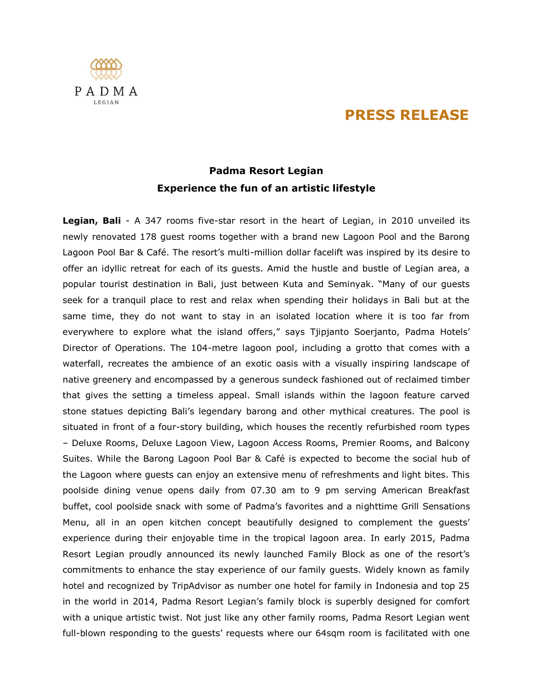## **PRESS RELEASE**



## **Padma Resort Legian Experience the fun of an artistic lifestyle**

**Legian, Bali** - A 347 rooms five-star resort in the heart of Legian, in 2010 unveiled its newly renovated 178 guest rooms together with a brand new Lagoon Pool and the Barong Lagoon Pool Bar & Café. The resort's multi-million dollar facelift was inspired by its desire to offer an idyllic retreat for each of its guests. Amid the hustle and bustle of Legian area, a popular tourist destination in Bali, just between Kuta and Seminyak. "Many of our guests seek for a tranquil place to rest and relax when spending their holidays in Bali but at the same time, they do not want to stay in an isolated location where it is too far from everywhere to explore what the island offers," says Tjipjanto Soerjanto, Padma Hotels' Director of Operations. The 104-metre lagoon pool, including a grotto that comes with a waterfall, recreates the ambience of an exotic oasis with a visually inspiring landscape of native greenery and encompassed by a generous sundeck fashioned out of reclaimed timber that gives the setting a timeless appeal. Small islands within the lagoon feature carved stone statues depicting Bali's legendary barong and other mythical creatures. The pool is situated in front of a four-story building, which houses the recently refurbished room types – Deluxe Rooms, Deluxe Lagoon View, Lagoon Access Rooms, Premier Rooms, and Balcony Suites. While the Barong Lagoon Pool Bar & Café is expected to become the social hub of the Lagoon where guests can enjoy an extensive menu of refreshments and light bites. This poolside dining venue opens daily from 07.30 am to 9 pm serving American Breakfast buffet, cool poolside snack with some of Padma's favorites and a nighttime Grill Sensations Menu, all in an open kitchen concept beautifully designed to complement the guests' experience during their enjoyable time in the tropical lagoon area. In early 2015, Padma Resort Legian proudly announced its newly launched Family Block as one of the resort's commitments to enhance the stay experience of our family guests. Widely known as family hotel and recognized by TripAdvisor as number one hotel for family in Indonesia and top 25 in the world in 2014, Padma Resort Legian's family block is superbly designed for comfort with a unique artistic twist. Not just like any other family rooms, Padma Resort Legian went full-blown responding to the guests' requests where our 64sqm room is facilitated with one